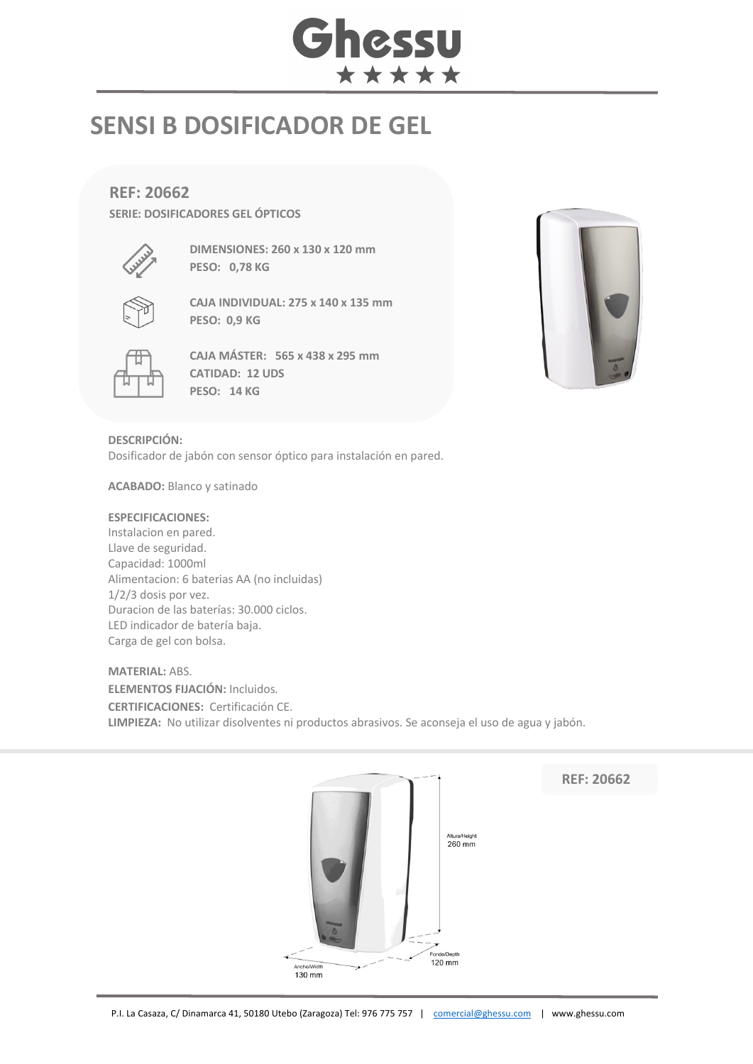# Ghessu \*\*\*\*\*

## **SENSI B DOSIFICADOR DE GEL**

### **REF: 20662**

**SERIE: DOSIFICADORES GEL ÓPTICOS**



**DIMENSIONES: 260 x 130 x 120 mm PESO: 0,78 KG**



**CAJA INDIVIDUAL: 275 x 140 x 135 mm PESO: 0,9 KG**



**CAJA MÁSTER: 565 x 438 x 295 mm CATIDAD: 12 UDS PESO: 14 KG**



**DESCRIPCIÓN:** Dosificador de jabón con sensor óptico para instalación en pared.

**ACABADO:** Blanco y satinado

#### **ESPECIFICACIONES:**

Instalacion en pared. Llave de seguridad. Capacidad: 1000ml Alimentacion: 6 baterias AA (no incluidas) 1/2/3 dosis por vez. Duracion de las baterías: 30.000 ciclos. LED indicador de batería baja. Carga de gel con bolsa.

### **MATERIAL:** ABS.

**ELEMENTOS FIJACIÓN:** Incluidos*.* **CERTIFICACIONES:** Certificación CE. **LIMPIEZA:** No utilizar disolventes ni productos abrasivos. Se aconseja el uso de agua y jabón.



**REF: 20662**